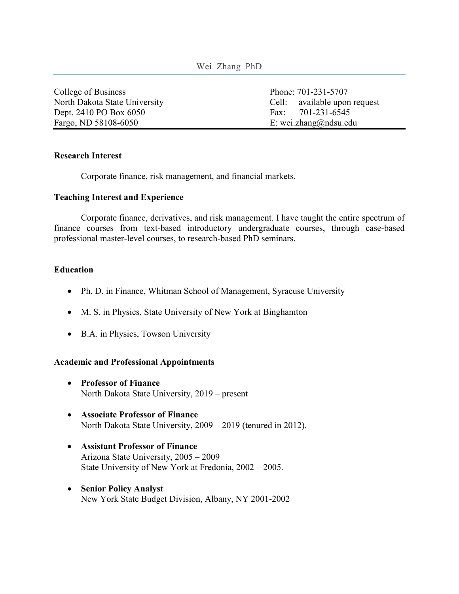### Wei Zhang PhD

College of Business Phone: 701-231-5707 Dept. 2410 PO Box 6050 Fax: 701-231-6545 Fargo, ND 58108-6050 E: wei.zhang@ndsu.edu

North Dakota State University Cell: available upon request

#### **Research Interest**

Corporate finance, risk management, and financial markets.

#### **Teaching Interest and Experience**

Corporate finance, derivatives, and risk management. I have taught the entire spectrum of finance courses from text-based introductory undergraduate courses, through case-based professional master-level courses, to research-based PhD seminars.

#### **Education**

- Ph. D. in Finance, Whitman School of Management, Syracuse University
- M. S. in Physics, State University of New York at Binghamton
- B.A. in Physics, Towson University

### **Academic and Professional Appointments**

- **Professor of Finance** North Dakota State University, 2019 – present
- **Associate Professor of Finance** North Dakota State University, 2009 – 2019 (tenured in 2012).
- **Assistant Professor of Finance** Arizona State University, 2005 – 2009 State University of New York at Fredonia, 2002 – 2005.
- **Senior Policy Analyst** New York State Budget Division, Albany, NY 2001-2002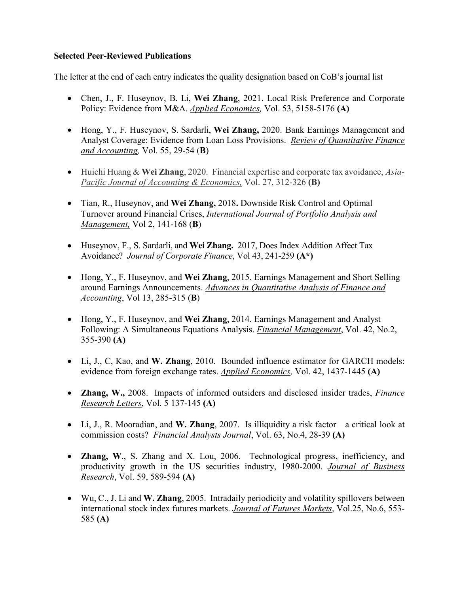# **Selected Peer-Reviewed Publications**

The letter at the end of each entry indicates the quality designation based on CoB's journal list

- Chen, J., F. Huseynov, B. Li, **Wei Zhang**, 2021. Local Risk Preference and Corporate Policy: Evidence from M&A. *Applied Economics,* Vol. 53, 5158-5176 **(A)**
- Hong, Y., F. Huseynov, S. Sardarli, **Wei Zhang,** 2020. Bank Earnings Management and Analyst Coverage: Evidence from Loan Loss Provisions. *Review of Quantitative Finance and Accounting,* Vol. 55, 29-54 (**B**)
- Huichi Huang & **Wei Zhang**, 2020. Financial expertise and corporate tax avoidance, *Asia-Pacific Journal of Accounting & Economics,* Vol. 27, 312-326 **(B)**
- Tian, R., Huseynov, and **Wei Zhang,** 2018**.** Downside Risk Control and Optimal Turnover around Financial Crises, *International Journal of Portfolio Analysis and Management,* Vol 2, 141-168 (**B**)
- Huseynov, F., S. Sardarli, and **Wei Zhang.** 2017, Does Index Addition Affect Tax Avoidance? *Journal of Corporate Finance*, Vol 43, 241-259 **(A\*)**
- Hong, Y., F. Huseynov, and **Wei Zhang**, 2015. Earnings Management and Short Selling around Earnings Announcements. *Advances in Quantitative Analysis of Finance and Accounting*, Vol 13, 285-315 (**B**)
- Hong, Y., F. Huseynov, and **Wei Zhang**, 2014. Earnings Management and Analyst Following: A Simultaneous Equations Analysis. *Financial Management*, Vol. 42, No.2, 355-390 **(A)**
- Li, J., C, Kao, and **W. Zhang**, 2010. Bounded influence estimator for GARCH models: evidence from foreign exchange rates. *Applied Economics,* Vol. 42, 1437-1445 **(A)**
- **Zhang, W.,** 2008. Impacts of informed outsiders and disclosed insider trades, *Finance Research Letters*, Vol. 5 137-145 **(A)**
- Li, J., R. Mooradian, and **W. Zhang**, 2007. Is illiquidity a risk factor—a critical look at commission costs? *Financial Analysts Journal*, Vol. 63, No.4, 28-39 **(A)**
- **Zhang, W**., S. Zhang and X. Lou, 2006. Technological progress, inefficiency, and productivity growth in the US securities industry, 1980-2000. *Journal of Business Research*, Vol. 59, 589-594 **(A)**
- Wu, C., J. Li and **W. Zhang**, 2005. Intradaily periodicity and volatility spillovers between international stock index futures markets. *Journal of Futures Markets*, Vol.25, No.6, 553- 585 **(A)**